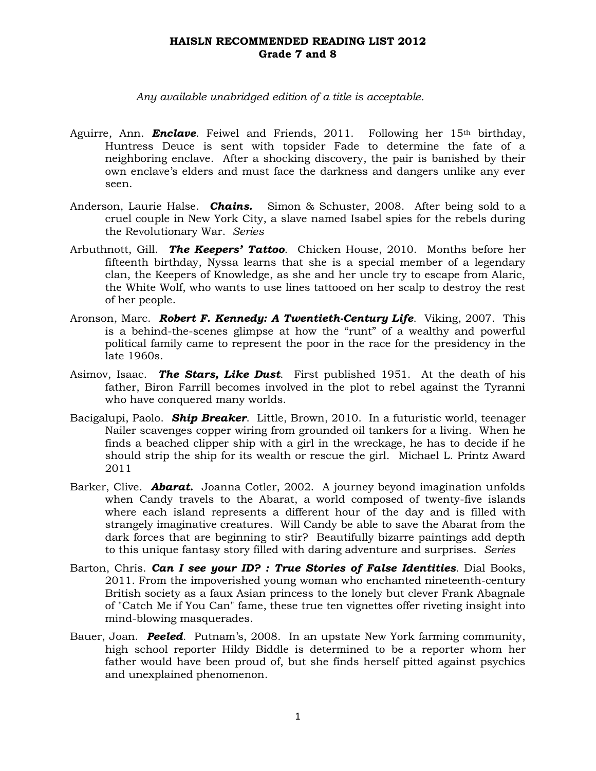*Any available unabridged edition of a title is acceptable.*

- Aguirre, Ann. **Enclave**. Feiwel and Friends, 2011. Following her 15<sup>th</sup> birthday, Huntress Deuce is sent with topsider Fade to determine the fate of a neighboring enclave. After a shocking discovery, the pair is banished by their own enclave's elders and must face the darkness and dangers unlike any ever seen.
- Anderson, Laurie Halse. *Chains.* Simon & Schuster, 2008. After being sold to a cruel couple in New York City, a slave named Isabel spies for the rebels during the Revolutionary War. *Series*
- Arbuthnott, Gill. *The Keepers' Tattoo*. Chicken House, 2010. Months before her fifteenth birthday, Nyssa learns that she is a special member of a legendary clan, the Keepers of Knowledge, as she and her uncle try to escape from Alaric, the White Wolf, who wants to use lines tattooed on her scalp to destroy the rest of her people.
- Aronson, Marc. *Robert F. Kennedy: A Twentieth-Century Life*. Viking, 2007. This is a behind-the-scenes glimpse at how the "runt" of a wealthy and powerful political family came to represent the poor in the race for the presidency in the late 1960s.
- Asimov, Isaac. *The Stars, Like Dust*. First published 1951. At the death of his father, Biron Farrill becomes involved in the plot to rebel against the Tyranni who have conquered many worlds.
- Bacigalupi, Paolo. *Ship Breaker*. Little, Brown, 2010. In a futuristic world, teenager Nailer scavenges copper wiring from grounded oil tankers for a living. When he finds a beached clipper ship with a girl in the wreckage, he has to decide if he should strip the ship for its wealth or rescue the girl. Michael L. Printz Award 2011
- Barker, Clive. *Abarat.* Joanna Cotler, 2002. A journey beyond imagination unfolds when Candy travels to the Abarat, a world composed of twenty-five islands where each island represents a different hour of the day and is filled with strangely imaginative creatures. Will Candy be able to save the Abarat from the dark forces that are beginning to stir? Beautifully bizarre paintings add depth to this unique fantasy story filled with daring adventure and surprises. *Series*
- Barton, Chris. *Can I see your ID? : True Stories of False Identities*. Dial Books, 2011. From the impoverished young woman who enchanted nineteenth-century British society as a faux Asian princess to the lonely but clever Frank Abagnale of "Catch Me if You Can" fame, these true ten vignettes offer riveting insight into mind-blowing masquerades.
- Bauer, Joan. *Peeled*. Putnam's, 2008. In an upstate New York farming community, high school reporter Hildy Biddle is determined to be a reporter whom her father would have been proud of, but she finds herself pitted against psychics and unexplained phenomenon.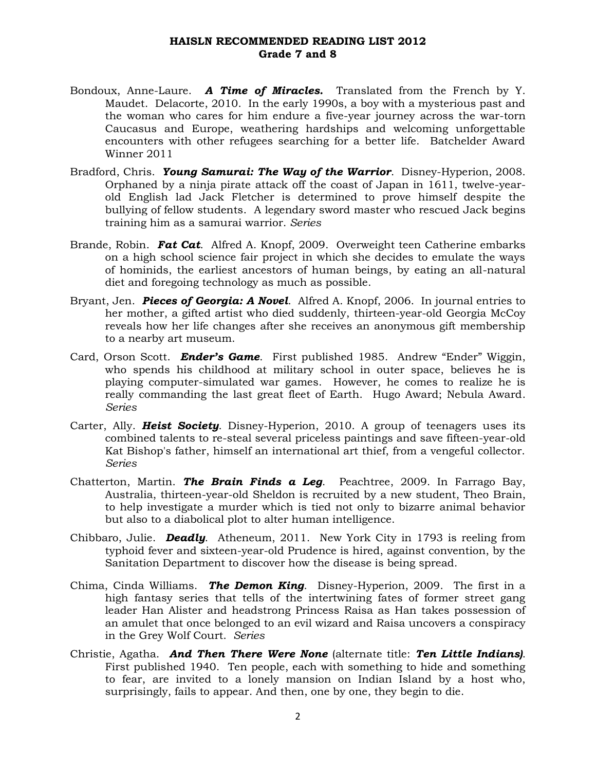- Bondoux, Anne-Laure. *A Time of Miracles.* Translated from the French by Y. Maudet. Delacorte, 2010. In the early 1990s, a boy with a mysterious past and the woman who cares for him endure a five-year journey across the war-torn Caucasus and Europe, weathering hardships and welcoming unforgettable encounters with other refugees searching for a better life. Batchelder Award Winner 2011
- Bradford, Chris. *Young Samurai: The Way of the Warrior*. Disney-Hyperion, 2008. Orphaned by a ninja pirate attack off the coast of Japan in 1611, twelve-yearold English lad Jack Fletcher is determined to prove himself despite the bullying of fellow students. A legendary sword master who rescued Jack begins training him as a samurai warrior. *Series*
- Brande, Robin. *Fat Cat*. Alfred A. Knopf, 2009. Overweight teen Catherine embarks on a high school science fair project in which she decides to emulate the ways of hominids, the earliest ancestors of human beings, by eating an all-natural diet and foregoing technology as much as possible.
- Bryant, Jen. *Pieces of Georgia: A Novel*. Alfred A. Knopf, 2006. In journal entries to her mother, a gifted artist who died suddenly, thirteen-year-old Georgia McCoy reveals how her life changes after she receives an anonymous gift membership to a nearby art museum.
- Card, Orson Scott. *Ender's Game*. First published 1985. Andrew "Ender" Wiggin, who spends his childhood at military school in outer space, believes he is playing computer-simulated war games. However, he comes to realize he is really commanding the last great fleet of Earth. Hugo Award; Nebula Award. *Series*
- Carter, Ally. *Heist Society*. Disney-Hyperion, 2010. A group of teenagers uses its combined talents to re-steal several priceless paintings and save fifteen-year-old Kat Bishop's father, himself an international art thief, from a vengeful collector. *Series*
- Chatterton, Martin. *The Brain Finds a Leg*. Peachtree, 2009. In Farrago Bay, Australia, thirteen-year-old Sheldon is recruited by a new student, Theo Brain, to help investigate a murder which is tied not only to bizarre animal behavior but also to a diabolical plot to alter human intelligence.
- Chibbaro, Julie. *Deadly*. Atheneum, 2011. New York City in 1793 is reeling from typhoid fever and sixteen-year-old Prudence is hired, against convention, by the Sanitation Department to discover how the disease is being spread.
- Chima, Cinda Williams. *The Demon King*. Disney-Hyperion, 2009. The first in a high fantasy series that tells of the intertwining fates of former street gang leader Han Alister and headstrong Princess Raisa as Han takes possession of an amulet that once belonged to an evil wizard and Raisa uncovers a conspiracy in the Grey Wolf Court. *Series*
- Christie, Agatha. *And Then There Were None* (alternate title: *Ten Little Indians)*. First published 1940. Ten people, each with something to hide and something to fear, are invited to a lonely mansion on Indian Island by a host who, surprisingly, fails to appear. And then, one by one, they begin to die.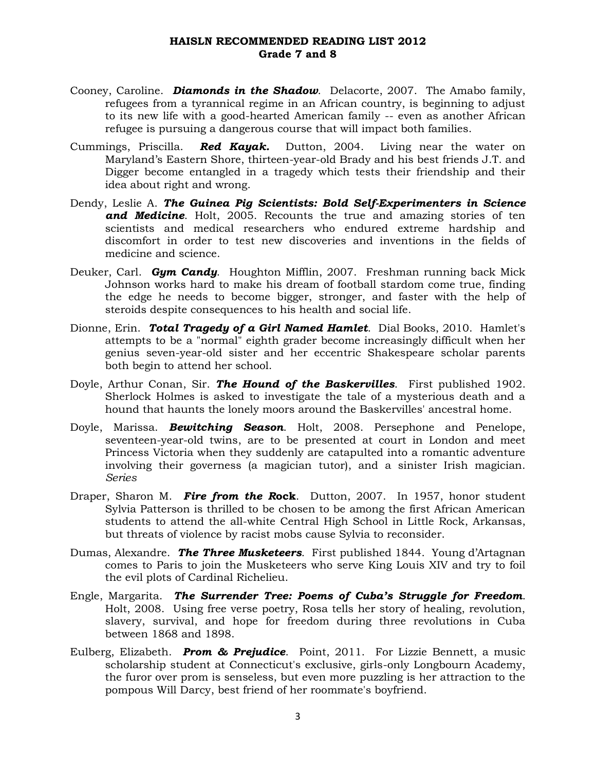- Cooney, Caroline. *Diamonds in the Shadow*. Delacorte, 2007. The Amabo family, refugees from a tyrannical regime in an African country, is beginning to adjust to its new life with a good-hearted American family -- even as another African refugee is pursuing a dangerous course that will impact both families.
- Cummings, Priscilla. *Red Kayak.* Dutton, 2004. Living near the water on Maryland's Eastern Shore, thirteen-year-old Brady and his best friends J.T. and Digger become entangled in a tragedy which tests their friendship and their idea about right and wrong.
- Dendy, Leslie A. *The Guinea Pig Scientists: Bold Self-Experimenters in Science and Medicine*. Holt, 2005. Recounts the true and amazing stories of ten scientists and medical researchers who endured extreme hardship and discomfort in order to test new discoveries and inventions in the fields of medicine and science.
- Deuker, Carl. *Gym Candy*. Houghton Mifflin, 2007. Freshman running back Mick Johnson works hard to make his dream of football stardom come true, finding the edge he needs to become bigger, stronger, and faster with the help of steroids despite consequences to his health and social life.
- Dionne, Erin. *Total Tragedy of a Girl Named Hamlet*. Dial Books, 2010. Hamlet's attempts to be a "normal" eighth grader become increasingly difficult when her genius seven-year-old sister and her eccentric Shakespeare scholar parents both begin to attend her school.
- Doyle, Arthur Conan, Sir. *The Hound of the Baskervilles*. First published 1902. Sherlock Holmes is asked to investigate the tale of a mysterious death and a hound that haunts the lonely moors around the Baskervilles' ancestral home.
- Doyle, Marissa. *Bewitching Season*. Holt, 2008. Persephone and Penelope, seventeen-year-old twins, are to be presented at court in London and meet Princess Victoria when they suddenly are catapulted into a romantic adventure involving their governess (a magician tutor), and a sinister Irish magician. *Series*
- Draper, Sharon M. *Fire from the R***ock**. Dutton, 2007. In 1957, honor student Sylvia Patterson is thrilled to be chosen to be among the first African American students to attend the all-white Central High School in Little Rock, Arkansas, but threats of violence by racist mobs cause Sylvia to reconsider.
- Dumas, Alexandre. *The Three Musketeers*. First published 1844. Young d'Artagnan comes to Paris to join the Musketeers who serve King Louis XIV and try to foil the evil plots of Cardinal Richelieu.
- Engle, Margarita. *The Surrender Tree: Poems of Cuba's Struggle for Freedom*. Holt, 2008. Using free verse poetry, Rosa tells her story of healing, revolution, slavery, survival, and hope for freedom during three revolutions in Cuba between 1868 and 1898.
- Eulberg, Elizabeth. *Prom & Prejudice*. Point, 2011. For Lizzie Bennett, a music scholarship student at Connecticut's exclusive, girls-only Longbourn Academy, the furor over prom is senseless, but even more puzzling is her attraction to the pompous Will Darcy, best friend of her roommate's boyfriend.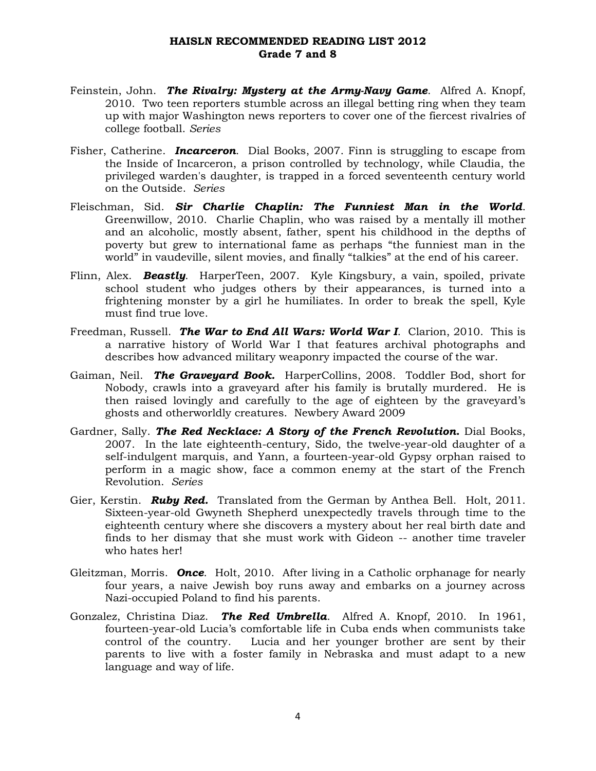- Feinstein, John. *The Rivalry: Mystery at the Army-Navy Game*. Alfred A. Knopf, 2010. Two teen reporters stumble across an illegal betting ring when they team up with major Washington news reporters to cover one of the fiercest rivalries of college football. *Series*
- Fisher, Catherine. *Incarceron*. Dial Books, 2007. Finn is struggling to escape from the Inside of Incarceron, a prison controlled by technology, while Claudia, the privileged warden's daughter, is trapped in a forced seventeenth century world on the Outside. *Series*
- Fleischman, Sid. *Sir Charlie Chaplin: The Funniest Man in the World*. Greenwillow, 2010. Charlie Chaplin, who was raised by a mentally ill mother and an alcoholic, mostly absent, father, spent his childhood in the depths of poverty but grew to international fame as perhaps "the funniest man in the world" in vaudeville, silent movies, and finally "talkies" at the end of his career.
- Flinn, Alex. *Beastly*. HarperTeen, 2007. Kyle Kingsbury, a vain, spoiled, private school student who judges others by their appearances, is turned into a frightening monster by a girl he humiliates. In order to break the spell, Kyle must find true love.
- Freedman, Russell. *The War to End All Wars: World War I*. Clarion, 2010. This is a narrative history of World War I that features archival photographs and describes how advanced military weaponry impacted the course of the war.
- Gaiman, Neil. *The Graveyard Book.* HarperCollins, 2008. Toddler Bod, short for Nobody, crawls into a graveyard after his family is brutally murdered. He is then raised lovingly and carefully to the age of eighteen by the graveyard's ghosts and otherworldly creatures. Newbery Award 2009
- Gardner, Sally. *The Red Necklace: A Story of the French Revolution***.** Dial Books, 2007. In the late eighteenth-century, Sido, the twelve-year-old daughter of a self-indulgent marquis, and Yann, a fourteen-year-old Gypsy orphan raised to perform in a magic show, face a common enemy at the start of the French Revolution. *Series*
- Gier, Kerstin. *Ruby Red.* Translated from the German by Anthea Bell. Holt, 2011. Sixteen-year-old Gwyneth Shepherd unexpectedly travels through time to the eighteenth century where she discovers a mystery about her real birth date and finds to her dismay that she must work with Gideon -- another time traveler who hates her!
- Gleitzman, Morris. *Once*. Holt, 2010. After living in a Catholic orphanage for nearly four years, a naive Jewish boy runs away and embarks on a journey across Nazi-occupied Poland to find his parents.
- Gonzalez, Christina Diaz. *The Red Umbrella*. Alfred A. Knopf, 2010. In 1961, fourteen-year-old Lucia's comfortable life in Cuba ends when communists take control of the country. Lucia and her younger brother are sent by their parents to live with a foster family in Nebraska and must adapt to a new language and way of life.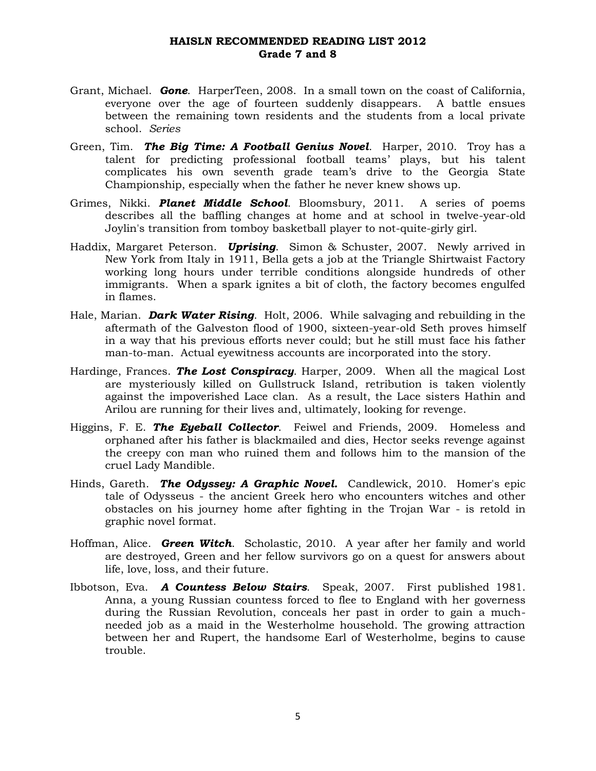- Grant, Michael. *Gone*. HarperTeen, 2008. In a small town on the coast of California, everyone over the age of fourteen suddenly disappears. A battle ensues between the remaining town residents and the students from a local private school. *Series*
- Green, Tim. *The Big Time: A Football Genius Novel*. Harper, 2010. Troy has a talent for predicting professional football teams' plays, but his talent complicates his own seventh grade team's drive to the Georgia State Championship, especially when the father he never knew shows up.
- Grimes, Nikki. *Planet Middle School*. Bloomsbury, 2011. A series of poems describes all the baffling changes at home and at school in twelve-year-old Joylin's transition from tomboy basketball player to not-quite-girly girl.
- Haddix, Margaret Peterson. *Uprising*. Simon & Schuster, 2007. Newly arrived in New York from Italy in 1911, Bella gets a job at the Triangle Shirtwaist Factory working long hours under terrible conditions alongside hundreds of other immigrants. When a spark ignites a bit of cloth, the factory becomes engulfed in flames.
- Hale, Marian. *Dark Water Rising*. Holt, 2006. While salvaging and rebuilding in the aftermath of the Galveston flood of 1900, sixteen-year-old Seth proves himself in a way that his previous efforts never could; but he still must face his father man-to-man. Actual eyewitness accounts are incorporated into the story.
- Hardinge, Frances. *The Lost Conspiracy*. Harper, 2009. When all the magical Lost are mysteriously killed on Gullstruck Island, retribution is taken violently against the impoverished Lace clan. As a result, the Lace sisters Hathin and Arilou are running for their lives and, ultimately, looking for revenge.
- Higgins, F. E. *The Eyeball Collector*. Feiwel and Friends, 2009. Homeless and orphaned after his father is blackmailed and dies, Hector seeks revenge against the creepy con man who ruined them and follows him to the mansion of the cruel Lady Mandible.
- Hinds, Gareth. *The Odyssey: A Graphic Novel.* Candlewick, 2010. Homer's epic tale of Odysseus - the ancient Greek hero who encounters witches and other obstacles on his journey home after fighting in the Trojan War - is retold in graphic novel format.
- Hoffman, Alice. *Green Witch*. Scholastic, 2010. A year after her family and world are destroyed, Green and her fellow survivors go on a quest for answers about life, love, loss, and their future.
- Ibbotson, Eva. *A Countess Below Stairs*. Speak, 2007. First published 1981. Anna, a young Russian countess forced to flee to England with her governess during the Russian Revolution, conceals her past in order to gain a muchneeded job as a maid in the Westerholme household. The growing attraction between her and Rupert, the handsome Earl of Westerholme, begins to cause trouble.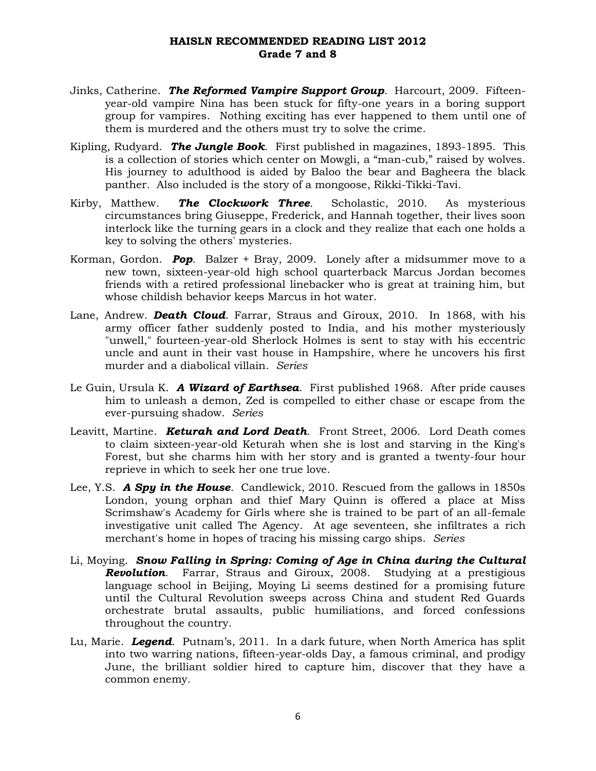- Jinks, Catherine. *The Reformed Vampire Support Group*. Harcourt, 2009. Fifteenyear-old vampire Nina has been stuck for fifty-one years in a boring support group for vampires. Nothing exciting has ever happened to them until one of them is murdered and the others must try to solve the crime.
- Kipling, Rudyard. *The Jungle Book*. First published in magazines, 1893-1895. This is a collection of stories which center on Mowgli, a "man-cub," raised by wolves. His journey to adulthood is aided by Baloo the bear and Bagheera the black panther. Also included is the story of a mongoose, Rikki-Tikki-Tavi.
- Kirby, Matthew. *The Clockwork Three*. Scholastic, 2010. As mysterious circumstances bring Giuseppe, Frederick, and Hannah together, their lives soon interlock like the turning gears in a clock and they realize that each one holds a key to solving the others' mysteries.
- Korman, Gordon. *Pop*. Balzer + Bray, 2009. Lonely after a midsummer move to a new town, sixteen-year-old high school quarterback Marcus Jordan becomes friends with a retired professional linebacker who is great at training him, but whose childish behavior keeps Marcus in hot water.
- Lane, Andrew. *Death Cloud*. Farrar, Straus and Giroux, 2010. In 1868, with his army officer father suddenly posted to India, and his mother mysteriously "unwell," fourteen-year-old Sherlock Holmes is sent to stay with his eccentric uncle and aunt in their vast house in Hampshire, where he uncovers his first murder and a diabolical villain. *Series*
- Le Guin, Ursula K. *A Wizard of Earthsea*. First published 1968. After pride causes him to unleash a demon, Zed is compelled to either chase or escape from the ever-pursuing shadow. *Series*
- Leavitt, Martine. *Keturah and Lord Death*. Front Street, 2006. Lord Death comes to claim sixteen-year-old Keturah when she is lost and starving in the King's Forest, but she charms him with her story and is granted a twenty-four hour reprieve in which to seek her one true love.
- Lee, Y.S. *A Spy in the House*. Candlewick, 2010. Rescued from the gallows in 1850s London, young orphan and thief Mary Quinn is offered a place at Miss Scrimshaw's Academy for Girls where she is trained to be part of an all-female investigative unit called The Agency. At age seventeen, she infiltrates a rich merchant's home in hopes of tracing his missing cargo ships. *Series*
- Li, Moying. *Snow Falling in Spring: Coming of Age in China during the Cultural Revolution*. Farrar, Straus and Giroux, 2008. Studying at a prestigious language school in Beijing, Moying Li seems destined for a promising future until the Cultural Revolution sweeps across China and student Red Guards orchestrate brutal assaults, public humiliations, and forced confessions throughout the country.
- Lu, Marie. *Legend*. Putnam's, 2011. In a dark future, when North America has split into two warring nations, fifteen-year-olds Day, a famous criminal, and prodigy June, the brilliant soldier hired to capture him, discover that they have a common enemy.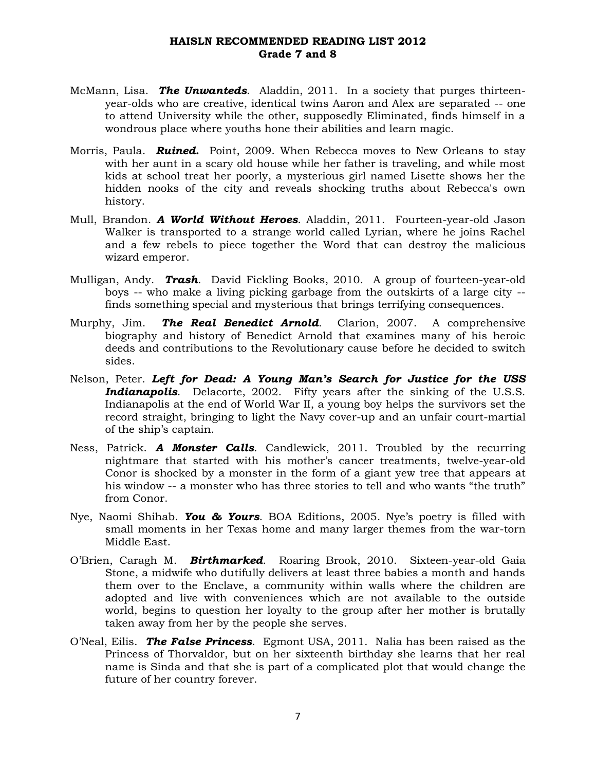- McMann, Lisa. *The Unwanteds*. Aladdin, 2011. In a society that purges thirteenyear-olds who are creative, identical twins Aaron and Alex are separated -- one to attend University while the other, supposedly Eliminated, finds himself in a wondrous place where youths hone their abilities and learn magic.
- Morris, Paula. *Ruined***.** Point, 2009. When Rebecca moves to New Orleans to stay with her aunt in a scary old house while her father is traveling, and while most kids at school treat her poorly, a mysterious girl named Lisette shows her the hidden nooks of the city and reveals shocking truths about Rebecca's own history.
- Mull, Brandon. *A World Without Heroes*. Aladdin, 2011. Fourteen-year-old Jason Walker is transported to a strange world called Lyrian, where he joins Rachel and a few rebels to piece together the Word that can destroy the malicious wizard emperor.
- Mulligan, Andy. *Trash*. David Fickling Books, 2010. A group of fourteen-year-old boys -- who make a living picking garbage from the outskirts of a large city - finds something special and mysterious that brings terrifying consequences.
- Murphy, Jim. *The Real Benedict Arnold*. Clarion, 2007. A comprehensive biography and history of Benedict Arnold that examines many of his heroic deeds and contributions to the Revolutionary cause before he decided to switch sides.
- Nelson, Peter. *Left for Dead: A Young Man's Search for Justice for the USS*  **Indianapolis**. Delacorte, 2002. Fifty years after the sinking of the U.S.S. Indianapolis at the end of World War II, a young boy helps the survivors set the record straight, bringing to light the Navy cover-up and an unfair court-martial of the ship's captain.
- Ness, Patrick. *A Monster Calls*. Candlewick, 2011. Troubled by the recurring nightmare that started with his mother's cancer treatments, twelve-year-old Conor is shocked by a monster in the form of a giant yew tree that appears at his window -- a monster who has three stories to tell and who wants "the truth" from Conor.
- Nye, Naomi Shihab. *You & Yours*. BOA Editions, 2005. Nye's poetry is filled with small moments in her Texas home and many larger themes from the war-torn Middle East.
- O'Brien, Caragh M. *Birthmarked*. Roaring Brook, 2010. Sixteen-year-old Gaia Stone, a midwife who dutifully delivers at least three babies a month and hands them over to the Enclave, a community within walls where the children are adopted and live with conveniences which are not available to the outside world, begins to question her loyalty to the group after her mother is brutally taken away from her by the people she serves.
- O'Neal, Eilis. *The False Princess*. Egmont USA, 2011. Nalia has been raised as the Princess of Thorvaldor, but on her sixteenth birthday she learns that her real name is Sinda and that she is part of a complicated plot that would change the future of her country forever.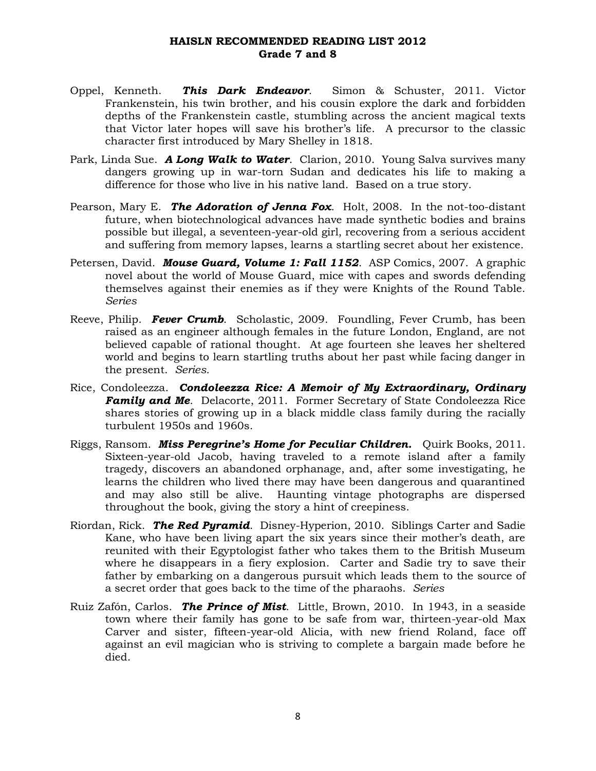- Oppel, Kenneth. *This Dark Endeavor*. Simon & Schuster, 2011. Victor Frankenstein, his twin brother, and his cousin explore the dark and forbidden depths of the Frankenstein castle, stumbling across the ancient magical texts that Victor later hopes will save his brother's life. A precursor to the classic character first introduced by Mary Shelley in 1818.
- Park, Linda Sue. *A Long Walk to Water*. Clarion, 2010. Young Salva survives many dangers growing up in war-torn Sudan and dedicates his life to making a difference for those who live in his native land. Based on a true story.
- Pearson, Mary E. *The Adoration of Jenna Fox*. Holt, 2008. In the not-too-distant future, when biotechnological advances have made synthetic bodies and brains possible but illegal, a seventeen-year-old girl, recovering from a serious accident and suffering from memory lapses, learns a startling secret about her existence.
- Petersen, David. *Mouse Guard, Volume 1: Fall 1152*. ASP Comics, 2007. A graphic novel about the world of Mouse Guard, mice with capes and swords defending themselves against their enemies as if they were Knights of the Round Table. *Series*
- Reeve, Philip. *Fever Crumb*. Scholastic, 2009. Foundling, Fever Crumb, has been raised as an engineer although females in the future London, England, are not believed capable of rational thought. At age fourteen she leaves her sheltered world and begins to learn startling truths about her past while facing danger in the present. *Series.*
- Rice, Condoleezza. *Condoleezza Rice: A Memoir of My Extraordinary, Ordinary*  **Family and Me.** Delacorte, 2011. Former Secretary of State Condoleezza Rice shares stories of growing up in a black middle class family during the racially turbulent 1950s and 1960s.
- Riggs, Ransom. *Miss Peregrine's Home for Peculiar Children.* Quirk Books, 2011. Sixteen-year-old Jacob, having traveled to a remote island after a family tragedy, discovers an abandoned orphanage, and, after some investigating, he learns the children who lived there may have been dangerous and quarantined and may also still be alive. Haunting vintage photographs are dispersed throughout the book, giving the story a hint of creepiness.
- Riordan, Rick. *The Red Pyramid*. Disney-Hyperion, 2010. Siblings Carter and Sadie Kane, who have been living apart the six years since their mother's death, are reunited with their Egyptologist father who takes them to the British Museum where he disappears in a fiery explosion. Carter and Sadie try to save their father by embarking on a dangerous pursuit which leads them to the source of a secret order that goes back to the time of the pharaohs. *Series*
- Ruiz Zafón, Carlos. *The Prince of Mist*. Little, Brown, 2010. In 1943, in a seaside town where their family has gone to be safe from war, thirteen-year-old Max Carver and sister, fifteen-year-old Alicia, with new friend Roland, face off against an evil magician who is striving to complete a bargain made before he died.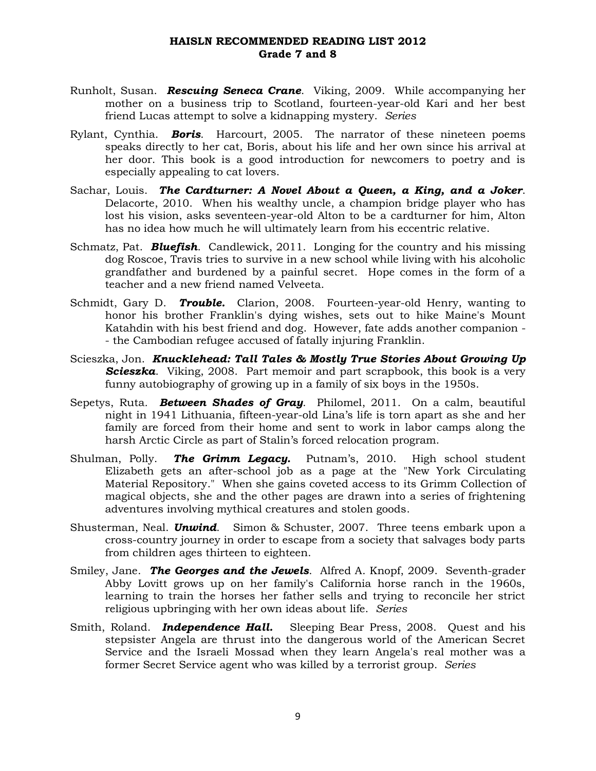- Runholt, Susan. *Rescuing Seneca Crane*. Viking, 2009. While accompanying her mother on a business trip to Scotland, fourteen-year-old Kari and her best friend Lucas attempt to solve a kidnapping mystery. *Series*
- Rylant, Cynthia. *Boris*. Harcourt, 2005. The narrator of these nineteen poems speaks directly to her cat, Boris, about his life and her own since his arrival at her door. This book is a good introduction for newcomers to poetry and is especially appealing to cat lovers.
- Sachar, Louis. *The Cardturner: A Novel About a Queen, a King, and a Joker*. Delacorte, 2010. When his wealthy uncle, a champion bridge player who has lost his vision, asks seventeen-year-old Alton to be a cardturner for him, Alton has no idea how much he will ultimately learn from his eccentric relative.
- Schmatz, Pat. *Bluefish*. Candlewick, 2011. Longing for the country and his missing dog Roscoe, Travis tries to survive in a new school while living with his alcoholic grandfather and burdened by a painful secret. Hope comes in the form of a teacher and a new friend named Velveeta.
- Schmidt, Gary D. *Trouble.* Clarion, 2008. Fourteen-year-old Henry, wanting to honor his brother Franklin's dying wishes, sets out to hike Maine's Mount Katahdin with his best friend and dog. However, fate adds another companion - - the Cambodian refugee accused of fatally injuring Franklin.
- Scieszka, Jon. *Knucklehead: Tall Tales & Mostly True Stories About Growing Up Scieszka*. Viking, 2008. Part memoir and part scrapbook, this book is a very funny autobiography of growing up in a family of six boys in the 1950s.
- Sepetys, Ruta*. Between Shades of Gray*. Philomel, 2011. On a calm, beautiful night in 1941 Lithuania, fifteen-year-old Lina's life is torn apart as she and her family are forced from their home and sent to work in labor camps along the harsh Arctic Circle as part of Stalin's forced relocation program.
- Shulman, Polly. *The Grimm Legacy.* Putnam's, 2010. High school student Elizabeth gets an after-school job as a page at the "New York Circulating Material Repository." When she gains coveted access to its Grimm Collection of magical objects, she and the other pages are drawn into a series of frightening adventures involving mythical creatures and stolen goods.
- Shusterman, Neal. *Unwind*. Simon & Schuster, 2007. Three teens embark upon a cross-country journey in order to escape from a society that salvages body parts from children ages thirteen to eighteen.
- Smiley, Jane. *The Georges and the Jewels*. Alfred A. Knopf, 2009. Seventh-grader Abby Lovitt grows up on her family's California horse ranch in the 1960s, learning to train the horses her father sells and trying to reconcile her strict religious upbringing with her own ideas about life. *Series*
- Smith, Roland. *Independence Hall.* Sleeping Bear Press, 2008. Quest and his stepsister Angela are thrust into the dangerous world of the American Secret Service and the Israeli Mossad when they learn Angela's real mother was a former Secret Service agent who was killed by a terrorist group. *Series*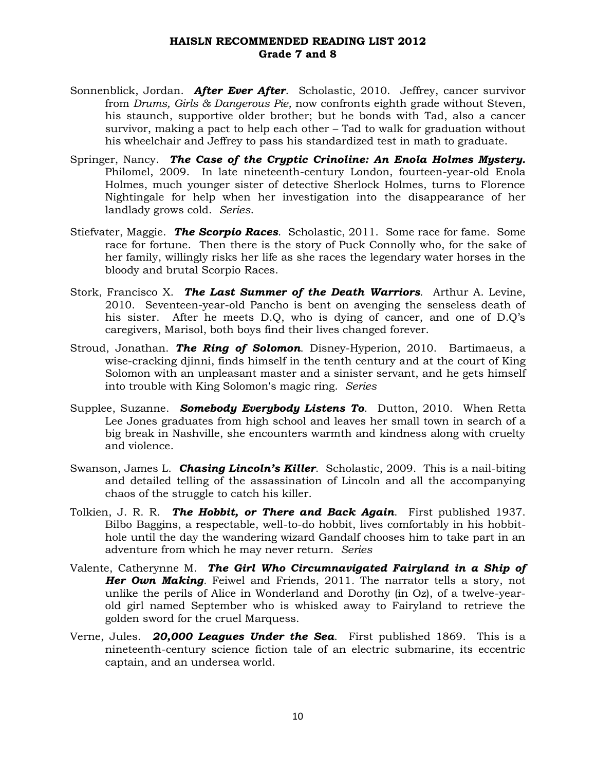- Sonnenblick, Jordan. *After Ever After*. Scholastic, 2010. Jeffrey, cancer survivor from *Drums, Girls & Dangerous Pie,* now confronts eighth grade without Steven, his staunch, supportive older brother; but he bonds with Tad, also a cancer survivor, making a pact to help each other – Tad to walk for graduation without his wheelchair and Jeffrey to pass his standardized test in math to graduate.
- Springer, Nancy. *The Case of the Cryptic Crinoline: An Enola Holmes Mystery.*  Philomel, 2009. In late nineteenth-century London, fourteen-year-old Enola Holmes, much younger sister of detective Sherlock Holmes, turns to Florence Nightingale for help when her investigation into the disappearance of her landlady grows cold. *Series*.
- Stiefvater, Maggie. *The Scorpio Races*. Scholastic, 2011. Some race for fame. Some race for fortune. Then there is the story of Puck Connolly who, for the sake of her family, willingly risks her life as she races the legendary water horses in the bloody and brutal Scorpio Races.
- Stork, Francisco X. *The Last Summer of the Death Warriors*. Arthur A. Levine, 2010. Seventeen-year-old Pancho is bent on avenging the senseless death of his sister. After he meets D.Q, who is dying of cancer, and one of D.Q's caregivers, Marisol, both boys find their lives changed forever.
- Stroud, Jonathan. *The Ring of Solomon*. Disney-Hyperion, 2010. Bartimaeus, a wise-cracking djinni, finds himself in the tenth century and at the court of King Solomon with an unpleasant master and a sinister servant, and he gets himself into trouble with King Solomon's magic ring. *Series*
- Supplee, Suzanne. *Somebody Everybody Listens To*. Dutton, 2010. When Retta Lee Jones graduates from high school and leaves her small town in search of a big break in Nashville, she encounters warmth and kindness along with cruelty and violence.
- Swanson, James L. *Chasing Lincoln's Killer*. Scholastic, 2009. This is a nail-biting and detailed telling of the assassination of Lincoln and all the accompanying chaos of the struggle to catch his killer.
- Tolkien, J. R. R. *The Hobbit, or There and Back Again*. First published 1937. Bilbo Baggins, a respectable, well-to-do hobbit, lives comfortably in his hobbithole until the day the wandering wizard Gandalf chooses him to take part in an adventure from which he may never return. *Series*
- Valente, Catherynne M. *The Girl Who Circumnavigated Fairyland in a Ship of Her Own Making.* Feiwel and Friends, 2011*.* The narrator tells a story, not unlike the perils of Alice in Wonderland and Dorothy (in Oz), of a twelve-yearold girl named September who is whisked away to Fairyland to retrieve the golden sword for the cruel Marquess.
- Verne, Jules. *20,000 Leagues Under the Sea*. First published 1869. This is a nineteenth-century science fiction tale of an electric submarine, its eccentric captain, and an undersea world.